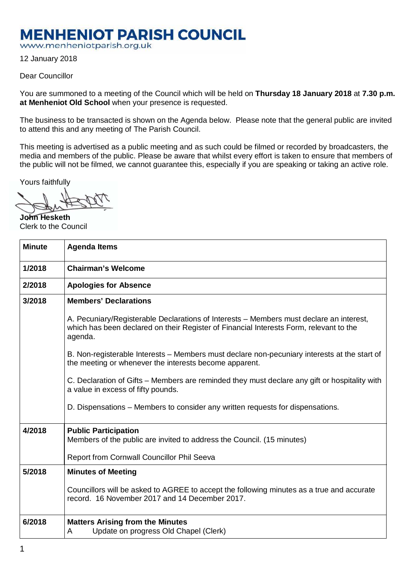## **MENHENIOT PARISH COUNCIL**

www.menheniotparish.org.uk

12 January 2018

## Dear Councillor

You are summoned to a meeting of the Council which will be held on **Thursday 18 January 2018** at **7.30 p.m. at Menheniot Old School** when your presence is requested.

The business to be transacted is shown on the Agenda below. Please note that the general public are invited to attend this and any meeting of The Parish Council.

This meeting is advertised as a public meeting and as such could be filmed or recorded by broadcasters, the media and members of the public. Please be aware that whilst every effort is taken to ensure that members of the public will not be filmed, we cannot guarantee this, especially if you are speaking or taking an active role.

Yours faithfully

**John Hesketh**  Clerk to the Council

| <b>Minute</b> | <b>Agenda Items</b>                                                                                                                                                                          |  |  |  |  |  |  |
|---------------|----------------------------------------------------------------------------------------------------------------------------------------------------------------------------------------------|--|--|--|--|--|--|
| 1/2018        | <b>Chairman's Welcome</b>                                                                                                                                                                    |  |  |  |  |  |  |
| 2/2018        | <b>Apologies for Absence</b>                                                                                                                                                                 |  |  |  |  |  |  |
| 3/2018        | <b>Members' Declarations</b>                                                                                                                                                                 |  |  |  |  |  |  |
|               | A. Pecuniary/Registerable Declarations of Interests – Members must declare an interest,<br>which has been declared on their Register of Financial Interests Form, relevant to the<br>agenda. |  |  |  |  |  |  |
|               | B. Non-registerable Interests – Members must declare non-pecuniary interests at the start of<br>the meeting or whenever the interests become apparent.                                       |  |  |  |  |  |  |
|               | C. Declaration of Gifts – Members are reminded they must declare any gift or hospitality with<br>a value in excess of fifty pounds.                                                          |  |  |  |  |  |  |
|               | D. Dispensations – Members to consider any written requests for dispensations.                                                                                                               |  |  |  |  |  |  |
| 4/2018        | <b>Public Participation</b><br>Members of the public are invited to address the Council. (15 minutes)                                                                                        |  |  |  |  |  |  |
|               | Report from Cornwall Councillor Phil Seeva                                                                                                                                                   |  |  |  |  |  |  |
| 5/2018        | <b>Minutes of Meeting</b>                                                                                                                                                                    |  |  |  |  |  |  |
|               | Councillors will be asked to AGREE to accept the following minutes as a true and accurate<br>record. 16 November 2017 and 14 December 2017.                                                  |  |  |  |  |  |  |
| 6/2018        | <b>Matters Arising from the Minutes</b><br>Update on progress Old Chapel (Clerk)<br>A                                                                                                        |  |  |  |  |  |  |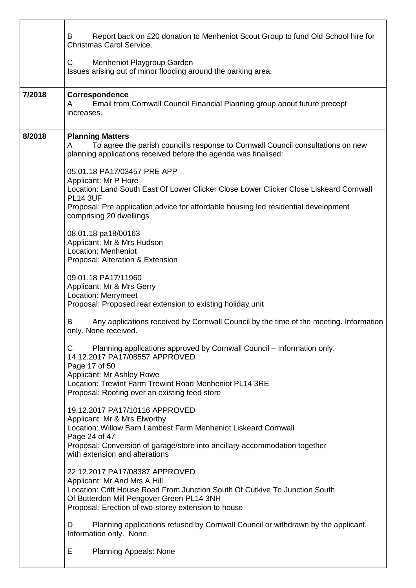|        | Report back on £20 donation to Menheniot Scout Group to fund Old School hire for<br>B<br><b>Christmas Carol Service.</b>                                                                                                                                                           |  |  |  |  |  |  |
|--------|------------------------------------------------------------------------------------------------------------------------------------------------------------------------------------------------------------------------------------------------------------------------------------|--|--|--|--|--|--|
|        | C<br>Menheniot Playgroup Garden<br>Issues arising out of minor flooding around the parking area.                                                                                                                                                                                   |  |  |  |  |  |  |
| 7/2018 | Correspondence<br>Email from Cornwall Council Financial Planning group about future precept<br>A<br>increases.                                                                                                                                                                     |  |  |  |  |  |  |
| 8/2018 | <b>Planning Matters</b><br>To agree the parish council's response to Cornwall Council consultations on new<br>A<br>planning applications received before the agenda was finalised:                                                                                                 |  |  |  |  |  |  |
|        | 05.01.18 PA17/03457 PRE APP<br>Applicant: Mr P Hore<br>Location: Land South East Of Lower Clicker Close Lower Clicker Close Liskeard Cornwall<br><b>PL14 3UF</b><br>Proposal: Pre application advice for affordable housing led residential development<br>comprising 20 dwellings |  |  |  |  |  |  |
|        | 08.01.18 pa18/00163<br>Applicant: Mr & Mrs Hudson<br>Location: Menheniot<br>Proposal: Alteration & Extension                                                                                                                                                                       |  |  |  |  |  |  |
|        | 09.01.18 PA17/11960<br>Applicant: Mr & Mrs Gerry<br>Location: Merrymeet<br>Proposal: Proposed rear extension to existing holiday unit                                                                                                                                              |  |  |  |  |  |  |
|        | Any applications received by Cornwall Council by the time of the meeting. Information<br>B<br>only. None received.                                                                                                                                                                 |  |  |  |  |  |  |
|        | Planning applications approved by Cornwall Council – Information only.<br>C<br>14.12.2017 PA17/08557 APPROVED<br>Page 17 of 50<br>Applicant: Mr Ashley Rowe<br>Location: Trewint Farm Trewint Road Menheniot PL14 3RE<br>Proposal: Roofing over an existing feed store             |  |  |  |  |  |  |
|        | 19.12.2017 PA17/10116 APPROVED<br>Applicant: Mr & Mrs Elworthy<br>Location: Willow Barn Lambest Farm Menheniot Liskeard Cornwall<br>Page 24 of 47<br>Proposal: Conversion of garage/store into ancillary accommodation together<br>with extension and alterations                  |  |  |  |  |  |  |
|        | 22.12.2017 PA17/08387 APPROVED<br>Applicant: Mr And Mrs A Hill<br>Location: Crift House Road From Junction South Of Cutkive To Junction South<br>Of Butterdon Mill Pengover Green PL14 3NH<br>Proposal: Erection of two-storey extension to house                                  |  |  |  |  |  |  |
|        | Planning applications refused by Cornwall Council or withdrawn by the applicant.<br>D<br>Information only. None.                                                                                                                                                                   |  |  |  |  |  |  |
|        | E<br><b>Planning Appeals: None</b>                                                                                                                                                                                                                                                 |  |  |  |  |  |  |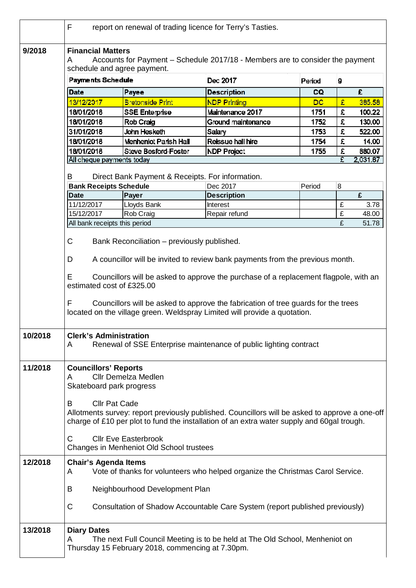|         | F<br>report on renewal of trading licence for Terry's Tasties.                                                                                                                                                            |                             |                                                                              |             |   |        |  |  |  |
|---------|---------------------------------------------------------------------------------------------------------------------------------------------------------------------------------------------------------------------------|-----------------------------|------------------------------------------------------------------------------|-------------|---|--------|--|--|--|
| 9/2018  | <b>Financial Matters</b><br>Accounts for Payment - Schedule 2017/18 - Members are to consider the payment<br>A<br>schedule and agree payment.                                                                             |                             |                                                                              |             |   |        |  |  |  |
|         | <b>Payments Schedule</b>                                                                                                                                                                                                  |                             | Dec 2017                                                                     | Period<br>9 |   |        |  |  |  |
|         | <b>Date</b>                                                                                                                                                                                                               | Payee                       | <b>Description</b>                                                           | CQ          |   | £      |  |  |  |
|         | 13/12/2017                                                                                                                                                                                                                | <b>Bretonside Print</b>     | <b>NDP Printing</b>                                                          | DC          | £ | 385,58 |  |  |  |
|         | 18/01/2018                                                                                                                                                                                                                | <b>SSE Enterprise</b>       | Maintenance 2017                                                             | 1751        | £ | 100.22 |  |  |  |
|         | 18/01/2018                                                                                                                                                                                                                | Rob Craig                   | Ground maintenance                                                           | 1752        | £ | 130.00 |  |  |  |
|         | 31/01/2018                                                                                                                                                                                                                | John Hesketh                | Salary                                                                       | 1753        | £ | 522.00 |  |  |  |
|         | 18/01/2018                                                                                                                                                                                                                | Menheniot Parish Hall       | Reissue hall hire                                                            | 1754        | £ | 14.00  |  |  |  |
|         | 18/01/2018                                                                                                                                                                                                                | <b>Steve Besford-Foster</b> | <b>NDP Project</b>                                                           | 1755        | £ | 880.07 |  |  |  |
|         | £<br>2,031.87<br>All cheque payments today                                                                                                                                                                                |                             |                                                                              |             |   |        |  |  |  |
|         | B<br>Direct Bank Payment & Receipts. For information.                                                                                                                                                                     |                             |                                                                              |             |   |        |  |  |  |
|         | <b>Bank Receipts Schedule</b>                                                                                                                                                                                             |                             | Dec 2017                                                                     | Period      | 8 |        |  |  |  |
|         | <b>Date</b>                                                                                                                                                                                                               | Payer                       | <b>Description</b>                                                           |             |   | £      |  |  |  |
|         | 11/12/2017                                                                                                                                                                                                                | Lloyds Bank                 | Interest                                                                     |             | £ | 3.78   |  |  |  |
|         | 15/12/2017                                                                                                                                                                                                                | Rob Craig                   | Repair refund                                                                |             | £ | 48.00  |  |  |  |
|         | £<br>All bank receipts this period<br>51.78                                                                                                                                                                               |                             |                                                                              |             |   |        |  |  |  |
|         | C<br>Bank Reconciliation - previously published.                                                                                                                                                                          |                             |                                                                              |             |   |        |  |  |  |
|         | A councillor will be invited to review bank payments from the previous month.<br>D<br>E                                                                                                                                   |                             |                                                                              |             |   |        |  |  |  |
|         | Councillors will be asked to approve the purchase of a replacement flagpole, with an                                                                                                                                      |                             |                                                                              |             |   |        |  |  |  |
|         | Councillors will be asked to approve the fabrication of tree guards for the trees<br>F<br>located on the village green. Weldspray Limited will provide a quotation.                                                       |                             |                                                                              |             |   |        |  |  |  |
| 10/2018 | <b>Clerk's Administration</b><br>Renewal of SSE Enterprise maintenance of public lighting contract<br>A                                                                                                                   |                             |                                                                              |             |   |        |  |  |  |
| 11/2018 | <b>Councillors' Reports</b><br><b>Cllr Demelza Medlen</b><br>A<br>Skateboard park progress                                                                                                                                |                             |                                                                              |             |   |        |  |  |  |
|         | <b>Cllr Pat Cade</b><br>В<br>Allotments survey: report previously published. Councillors will be asked to approve a one-off<br>charge of £10 per plot to fund the installation of an extra water supply and 60gal trough. |                             |                                                                              |             |   |        |  |  |  |
|         | C<br><b>Cllr Eve Easterbrook</b><br>Changes in Menheniot Old School trustees                                                                                                                                              |                             |                                                                              |             |   |        |  |  |  |
| 12/2018 | <b>Chair's Agenda Items</b><br>Vote of thanks for volunteers who helped organize the Christmas Carol Service.<br>A<br>Neighbourhood Development Plan<br>B                                                                 |                             |                                                                              |             |   |        |  |  |  |
|         |                                                                                                                                                                                                                           |                             |                                                                              |             |   |        |  |  |  |
|         | C                                                                                                                                                                                                                         |                             | Consultation of Shadow Accountable Care System (report published previously) |             |   |        |  |  |  |
| 13/2018 | <b>Diary Dates</b><br>The next Full Council Meeting is to be held at The Old School, Menheniot on<br>A<br>Thursday 15 February 2018, commencing at 7.30pm.                                                                |                             |                                                                              |             |   |        |  |  |  |